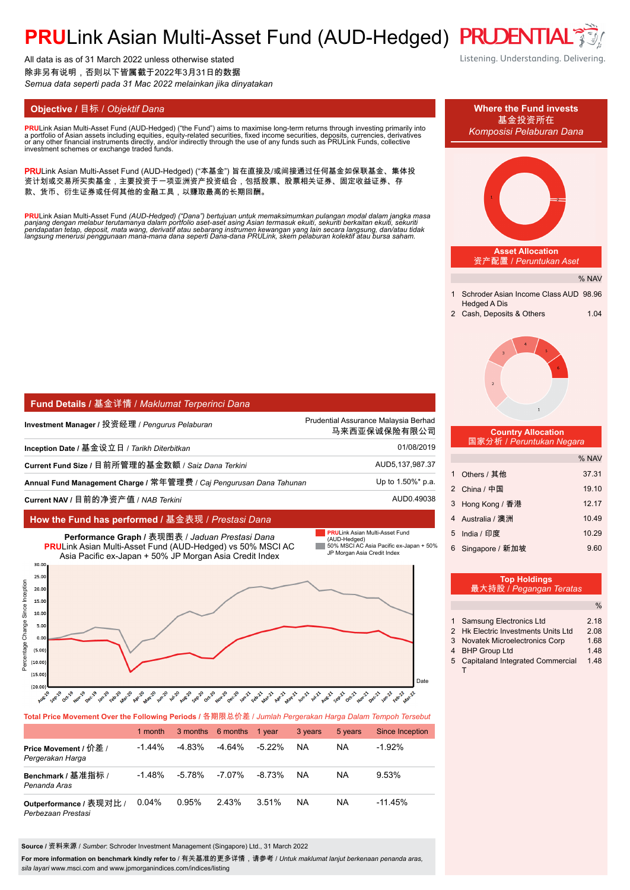# PRULink Asian Multi-Asset Fund (AUD-Hedged) PRUDENTIA

All data is as of 31 March 2022 unless otherwise stated 除非另有说明,否则以下皆属截于2022年3月31日的数据 *Semua data seperti pada 31 Mac 2022 melainkan jika dinyatakan*

**PRU**Link Asian Multi-Asset Fund (AUD-Hedged) ("the Fund") aims to maximise long-term returns through investing primarily into<br>a nortfolio of Asian assets including equities, equity-related securities, fixed income securit a portfolio of Asian assets including equities, equity-related securities, fixed income securities, deposits, currencies, derivatives<br>or any other financial instruments directly, and/or indirectly through the use of any fu

PRULink Asian Multi-Asset Fund (AUD-Hedged) ("本基金") 旨在直接及/或间接通过任何基金如保联基金、集体投 资计划或交易所买卖基金,主要投资于一项亚洲资产投资组合,包括股票、股票相关证券、固定收益证券、存 款、货币、衍生证券或任何其他的金融工具,以赚取最高的长期回酬。

<mark>PRU</mark>Link Asian Multi-Asset Fund (AUD-Hedged) ("Dana") bertujuan untuk memaksimumkan pulangan modal dalam jangka masa<br>panjang dengan melabur terutamanya dalam portfolio aset-aset asing Asian termasuk ekuiti, sekuriti berka

| <b>Fund Details / 基金详情 / Maklumat Terperinci Dana</b>               |                                                      |  |  |
|---------------------------------------------------------------------|------------------------------------------------------|--|--|
| Investment Manager / 投资经理 / <i>Penqurus Pelaburan</i>               | Prudential Assurance Malaysia Berhad<br>马来西亚保诚保险有限公司 |  |  |
| Inception Date / 基金设立日 / <i>Tarikh Diterbitkan</i>                  | 01/08/2019                                           |  |  |
| Current Fund Size / 目前所管理的基金数额 / Saiz Dana Terkini                  | AUD5, 137, 987.37                                    |  |  |
| Annual Fund Management Charge / 常年管理费 / Caj Pengurusan Dana Tahunan | Up to 1.50%* p.a.                                    |  |  |
| Current NAV / 目前的净资产值 / NAB <i>Terkini</i>                          | AUD0.49038                                           |  |  |

## **How the Fund has performed /** 基金表现 / *Prestasi Dana*



### **Total Price Movement Over the Following Periods /** 各期限总价差 / *Jumlah Pergerakan Harga Dalam Tempoh Tersebut*

|                                               | 1 month   |           | 3 months 6 months | 1 vear    | 3 years   | 5 years   | Since Inception |
|-----------------------------------------------|-----------|-----------|-------------------|-----------|-----------|-----------|-----------------|
| Price Movement / 价差 /<br>Pergerakan Harga     | $-1.44\%$ | $-4.83\%$ | $-4.64%$          | $-5.22\%$ | <b>NA</b> | <b>NA</b> | $-1.92%$        |
| Benchmark / 基准指标 /<br>Penanda Aras            | $-1.48%$  | $-5.78\%$ | $-7.07\%$         | -8.73%    | <b>NA</b> | <b>NA</b> | 9.53%           |
| Outperformance / 表现对比 /<br>Perbezaan Prestasi | 0.04%     | 0.95%     | 243%              | 3.51%     | <b>NA</b> | <b>NA</b> | $-11.45%$       |

**Source /** 资料来源 / *Sumber*: Schroder Investment Management (Singapore) Ltd., 31 March 2022

For more information on benchmark kindly refer to / 有关基准的更多详情,请参考 / *Untuk maklumat lanjut berkenaan penanda aras*, *sila layari* www.msci.com and www.jpmorganindices.com/indices/listing

Listening. Understanding. Delivering.

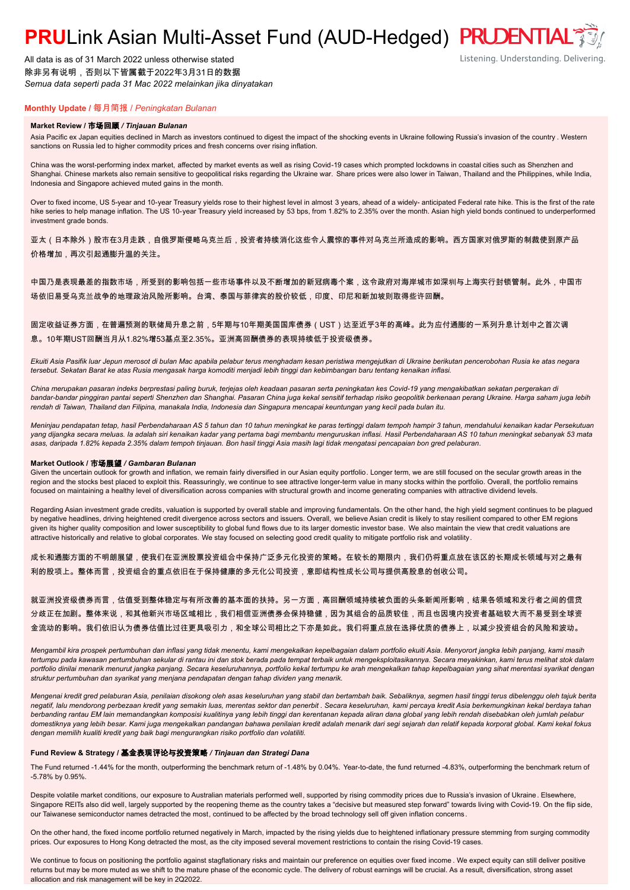# **PRU**Link Asian Multi-Asset Fund (AUD-Hedged) PRUDENTIAL

All data is as of 31 March 2022 unless otherwise stated 除非另有说明,否则以下皆属截于2022年3月31日的数据 *Semua data seperti pada 31 Mac 2022 melainkan jika dinyatakan*

# Listening. Understanding. Delivering.

## **Monthly Update /** 每月简报 / *Peningkatan Bulanan*

#### **Market Review /** 市场回顾 */ Tinjauan Bulanan*

Asia Pacific ex Japan equities declined in March as investors continued to digest the impact of the shocking events in Ukraine following Russia's invasion of the country . Western sanctions on Russia led to higher commodity prices and fresh concerns over rising inflation.

China was the worst-performing index market, affected by market events as well as rising Covid-19 cases which prompted lockdowns in coastal cities such as Shenzhen and Shanghai. Chinese markets also remain sensitive to geopolitical risks regarding the Ukraine war. Share prices were also lower in Taiwan, Thailand and the Philippines, while India, Indonesia and Singapore achieved muted gains in the month.

Over to fixed income, US 5-year and 10-year Treasury yields rose to their highest level in almost 3 years, ahead of a widely- anticipated Federal rate hike. This is the first of the rate hike series to help manage inflation. The US 10-year Treasury yield increased by 53 bps, from 1.82% to 2.35% over the month. Asian high yield bonds continued to underperformed investment grade bonds.

亚太(日本除外)股市在3月走跌,自俄罗斯侵略乌克兰后,投资者持续消化这些令人震惊的事件对乌克兰所造成的影响。西方国家对俄罗斯的制裁使到原产品 价格增加,再次引起通膨升温的关注。

中国乃是表现最差的指数市场,所受到的影响包括一些市场事件以及不断增加的新冠病毒个案,这令政府对海岸城市如深圳与上海实行封锁管制。此外,中国市 场依旧易受乌克兰战争的地理政治风险所影响。台湾、泰国与菲律宾的股价较低,印度、印尼和新加坡则取得些许回酬。

### 固定收益证券方面,在普遍预测的联储局升息之前,5年期与10年期美国国库债券(UST)达至近乎3年的高峰。此为应付通膨的一系列升息计划中之首次调 息。10年期UST回酬当月从1.82%增53基点至2.35%。亚洲高回酬债券的表现持续低于投资级债券。

*Ekuiti Asia Pasifik luar Jepun merosot di bulan Mac apabila pelabur terus menghadam kesan peristiwa mengejutkan di Ukraine berikutan pencerobohan Rusia ke atas negara tersebut. Sekatan Barat ke atas Rusia mengasak harga komoditi menjadi lebih tinggi dan kebimbangan baru tentang kenaikan inflasi.*

*China merupakan pasaran indeks berprestasi paling buruk, terjejas oleh keadaan pasaran serta peningkatan kes Covid-19 yang mengakibatkan sekatan pergerakan di bandar-bandar pinggiran pantai seperti Shenzhen dan Shanghai. Pasaran China juga kekal sensitif terhadap risiko geopolitik berkenaan perang Ukraine. Harga saham juga lebih rendah di Taiwan, Thailand dan Filipina, manakala India, Indonesia dan Singapura mencapai keuntungan yang kecil pada bulan itu.*

*Meninjau pendapatan tetap, hasil Perbendaharaan AS 5 tahun dan 10 tahun meningkat ke paras tertinggi dalam tempoh hampir 3 tahun, mendahului kenaikan kadar Persekutuan yang dijangka secara meluas. Ia adalah siri kenaikan kadar yang pertama bagi membantu menguruskan inflasi. Hasil Perbendaharaan AS 10 tahun meningkat sebanyak 53 mata asas, daripada 1.82% kepada 2.35% dalam tempoh tinjauan. Bon hasil tinggi Asia masih lagi tidak mengatasi pencapaian bon gred pelaburan.*

#### **Market Outlook /** 市场展望 */ Gambaran Bulanan*

Given the uncertain outlook for growth and inflation, we remain fairly diversified in our Asian equity portfolio. Longer term, we are still focused on the secular growth areas in the region and the stocks best placed to exploit this. Reassuringly, we continue to see attractive longer-term value in many stocks within the portfolio. Overall, the portfolio remains focused on maintaining a healthy level of diversification across companies with structural growth and income generating companies with attractive dividend levels.

Regarding Asian investment grade credits, valuation is supported by overall stable and improving fundamentals. On the other hand, the high yield segment continues to be plagued by negative headlines, driving heightened credit divergence across sectors and issuers. Overall, we believe Asian credit is likely to stay resilient compared to other EM regions given its higher quality composition and lower susceptibility to global fund flows due to its larger domestic investor base. We also maintain the view that credit valuations are attractive historically and relative to global corporates. We stay focused on selecting good credit quality to mitigate portfolio risk and volatility.

成长和通膨方面的不明朗展望,使我们在亚洲股票投资组合中保持广泛多元化投资的策略。在较长的期限内,我们仍将重点放在该区的长期成长领域与对之最有 利的股项上。整体而言,投资组合的重点依旧在于保持健康的多元化公司投资,意即结构性成长公司与提供高股息的创收公司。

```
就亚洲投资级债券而言,估值受到整体稳定与有所改善的基本面的扶持。另一方面,高回酬领域持续被负面的头条新闻所影响,结果各领域和发行者之间的信贷
分歧正在加剧。整体来说,和其他新兴市场区域相比,我们相信亚洲债券会保持稳健,因为其组合的品质较佳,而且也因境内投资者基础较大而不易受到全球资
金流动的影响。我们依旧认为债券估值比过往更具吸引力,和全球公司相比之下亦是如此。我们将重点放在选择优质的债券上,以减少投资组合的风险和波动。
```
*Mengambil kira prospek pertumbuhan dan inflasi yang tidak menentu, kami mengekalkan kepelbagaian dalam portfolio ekuiti Asia. Menyorort jangka lebih panjang, kami masih tertumpu pada kawasan pertumbuhan sekular di rantau ini dan stok berada pada tempat terbaik untuk mengeksploitasikannya. Secara meyakinkan, kami terus melihat stok dalam portfolio dinilai menarik menurut jangka panjang. Secara keseluruhannya, portfolio kekal tertumpu ke arah mengekalkan tahap kepelbagaian yang sihat merentasi syarikat dengan struktur pertumbuhan dan syarikat yang menjana pendapatan dengan tahap dividen yang menarik.*

*Mengenai kredit gred pelaburan Asia, penilaian disokong oleh asas keseluruhan yang stabil dan bertambah baik. Sebaliknya, segmen hasil tinggi terus dibelenggu oleh tajuk berita negatif, lalu mendorong perbezaan kredit yang semakin luas, merentas sektor dan penerbit . Secara keseluruhan, kami percaya kredit Asia berkemungkinan kekal berdaya tahan berbanding rantau EM lain memandangkan komposisi kualitinya yang lebih tinggi dan kerentanan kepada aliran dana global yang lebih rendah disebabkan oleh jumlah pelabur domestiknya yang lebih besar. Kami juga mengekalkan pandangan bahawa penilaian kredit adalah menarik dari segi sejarah dan relatif kepada korporat global. Kami kekal fokus dengan memilih kualiti kredit yang baik bagi mengurangkan risiko portfolio dan volatiliti.*

#### **Fund Review & Strategy /** 基金表现评论与投资策略 */ Tinjauan dan Strategi Dana*

The Fund returned -1.44% for the month, outperforming the benchmark return of -1.48% by 0.04%. Year-to-date, the fund returned -4.83%, outperforming the benchmark return of -5.78% by 0.95%.

Despite volatile market conditions, our exposure to Australian materials performed well, supported by rising commodity prices due to Russia's invasion of Ukraine. Elsewhere, Singapore REITs also did well, largely supported by the reopening theme as the country takes a "decisive but measured step forward" towards living with Covid-19. On the flip side, our Taiwanese semiconductor names detracted the most, continued to be affected by the broad technology sell off given inflation concerns.

On the other hand, the fixed income portfolio returned negatively in March, impacted by the rising yields due to heightened inflationary pressure stemming from surging commodity prices. Our exposures to Hong Kong detracted the most, as the city imposed several movement restrictions to contain the rising Covid-19 cases.

We continue to focus on positioning the portfolio against stagflationary risks and maintain our preference on equities over fixed income . We expect equity can still deliver positive returns but may be more muted as we shift to the mature phase of the economic cycle. The delivery of robust earnings will be crucial. As a result, diversification, strong asset allocation and risk management will be key in 2Q2022.